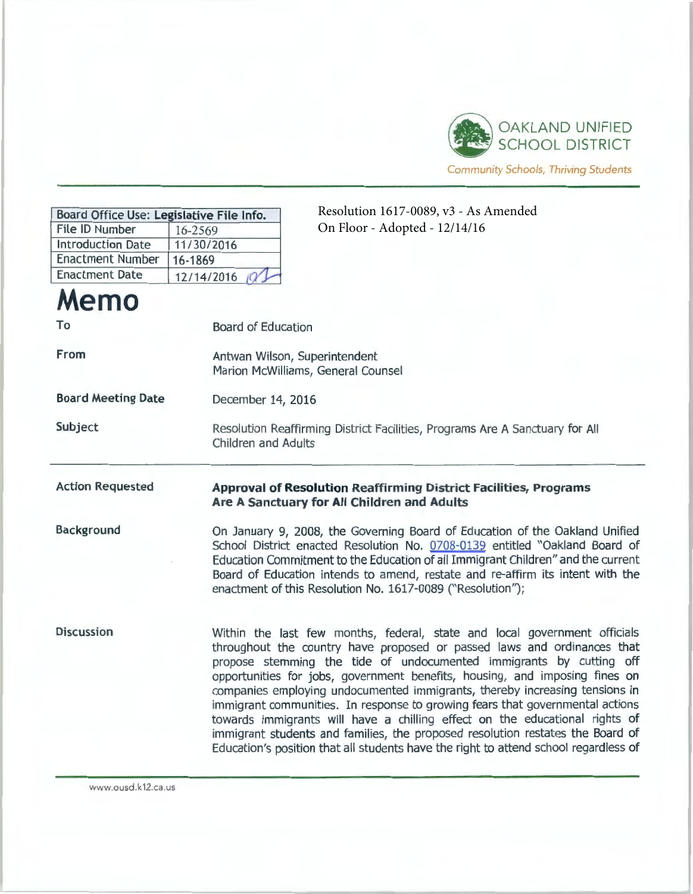

Community Schools, Thriving Students

| Resolution 1617-0089, v3 - As Amended<br>Board Office Use: Legislative File Info. |                                                                                                                                                                                                                                                                                                                                                                                                                                                                                                                                                                                                                                                                                                                                     |
|-----------------------------------------------------------------------------------|-------------------------------------------------------------------------------------------------------------------------------------------------------------------------------------------------------------------------------------------------------------------------------------------------------------------------------------------------------------------------------------------------------------------------------------------------------------------------------------------------------------------------------------------------------------------------------------------------------------------------------------------------------------------------------------------------------------------------------------|
| File ID Number                                                                    | On Floor - Adopted - 12/14/16<br>16-2569                                                                                                                                                                                                                                                                                                                                                                                                                                                                                                                                                                                                                                                                                            |
| <b>Introduction Date</b>                                                          | 11/30/2016                                                                                                                                                                                                                                                                                                                                                                                                                                                                                                                                                                                                                                                                                                                          |
| <b>Enactment Number</b>                                                           | 16-1869                                                                                                                                                                                                                                                                                                                                                                                                                                                                                                                                                                                                                                                                                                                             |
| <b>Enactment Date</b>                                                             | 12/14/2016                                                                                                                                                                                                                                                                                                                                                                                                                                                                                                                                                                                                                                                                                                                          |
| Memo                                                                              |                                                                                                                                                                                                                                                                                                                                                                                                                                                                                                                                                                                                                                                                                                                                     |
| To                                                                                | <b>Board of Education</b>                                                                                                                                                                                                                                                                                                                                                                                                                                                                                                                                                                                                                                                                                                           |
| From                                                                              | Antwan Wilson, Superintendent<br>Marion McWilliams, General Counsel                                                                                                                                                                                                                                                                                                                                                                                                                                                                                                                                                                                                                                                                 |
| <b>Board Meeting Date</b>                                                         | December 14, 2016                                                                                                                                                                                                                                                                                                                                                                                                                                                                                                                                                                                                                                                                                                                   |
| Subject                                                                           | Resolution Reaffirming District Facilities, Programs Are A Sanctuary for All<br><b>Children and Adults</b>                                                                                                                                                                                                                                                                                                                                                                                                                                                                                                                                                                                                                          |
| <b>Action Requested</b>                                                           | <b>Approval of Resolution Reaffirming District Facilities, Programs</b><br>Are A Sanctuary for All Children and Adults                                                                                                                                                                                                                                                                                                                                                                                                                                                                                                                                                                                                              |
| Background                                                                        | On January 9, 2008, the Governing Board of Education of the Oakland Unified<br>School District enacted Resolution No. 0708-0139 entitled "Oakland Board of<br>Education Commitment to the Education of all Immigrant Children" and the current<br>Board of Education intends to amend, restate and re-affirm its intent with the<br>enactment of this Resolution No. 1617-0089 ("Resolution");                                                                                                                                                                                                                                                                                                                                      |
| <b>Discussion</b>                                                                 | Within the last few months, federal, state and local government officials<br>throughout the country have proposed or passed laws and ordinances that<br>propose stemming the tide of undocumented immigrants by cutting off<br>opportunities for jobs, government benefits, housing, and imposing fines on<br>companies employing undocumented immigrants, thereby increasing tensions in<br>immigrant communities. In response to growing fears that governmental actions<br>towards immigrants will have a chilling effect on the educational rights of<br>immigrant students and families, the proposed resolution restates the Board of<br>Education's position that all students have the right to attend school regardless of |

www.ousd.k12.ca.us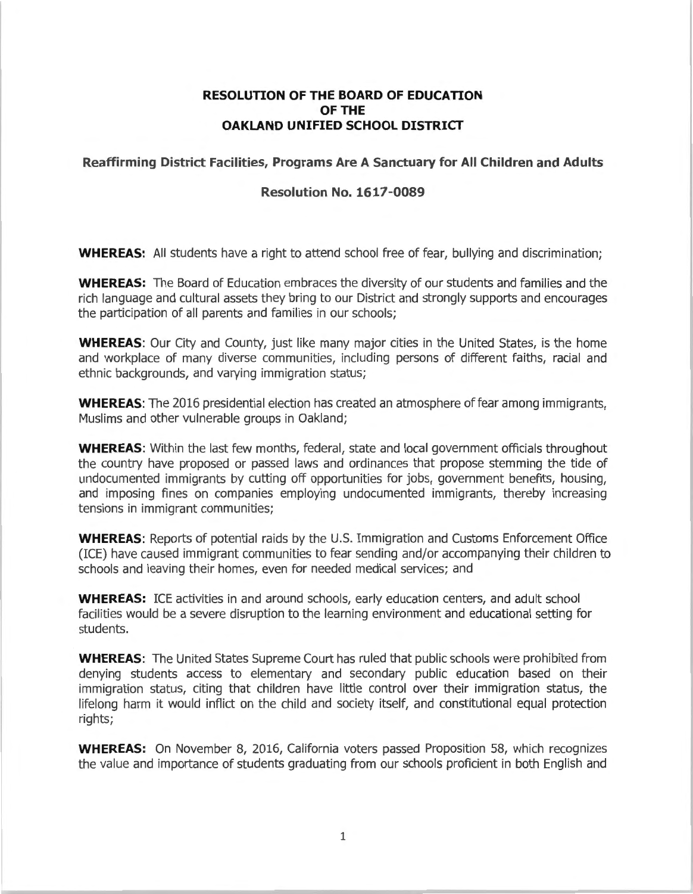## **RESOLUTION OF THE BOARD OF EDUCATION OF THE OAKLAND UNIFIED SCHOOL DISTRICT**

## **Reaffirming District Facilities, Programs Are A Sanctuary for All Children and Adults**

## **Resolution No. 1617-0089**

**WHEREAS:** All students have a right to attend school free of fear, bullying and discrimination;

**WHEREAS:** The Board of Education embraces the diversity of our students and families and the rich language and cultural assets they bring to our District and strongly supports and encourages the participation of all parents and families in our schools;

**WHEREAS:** Our City and County, just like many major cities in the United States, is the home and workplace of many diverse communities, including persons of different faiths, racial and ethnic backgrounds, and varying immigration status;

**WHEREAS:** The 2016 presidential election has created an atmosphere of fear among immigrants, Muslims and other vulnerable groups in Oakland;

**WHEREAS:** Within the last few months, federal, state and local government officials throughout the country have proposed or passed laws and ordinances that propose stemming the tide of undocumented immigrants by cutting off opportunities for jobs, government benefits, housing, and imposing fines on companies employing undocumented immigrants, thereby increasing tensions in immigrant communities;

**WHEREAS:** Reports of potential raids by the U.S. Immigration and Customs Enforcement Office (ICE) have caused im migrant communities to fear sending and/or accompanying their children to schools and leaving their homes, even for needed medical services; and

**WHEREAS:** ICE activities in and around schools, early education centers, and adult school facilities would be a severe disruption to the learning environment and educational setting for students.

**WHEREAS:** The United States Supreme Court has ruled that public schools were prohibited from denying students access to elementary and secondary public education based on their immigration status, citing that children have little control over their immigration status, the lifelong harm it would inflict on the child and society itself, and constitutional equal protection rights;

**WHEREAS:** On November 8, 2016, California voters passed Proposition 58, which recognizes the value and importance of students graduating from our schools proficient in both English and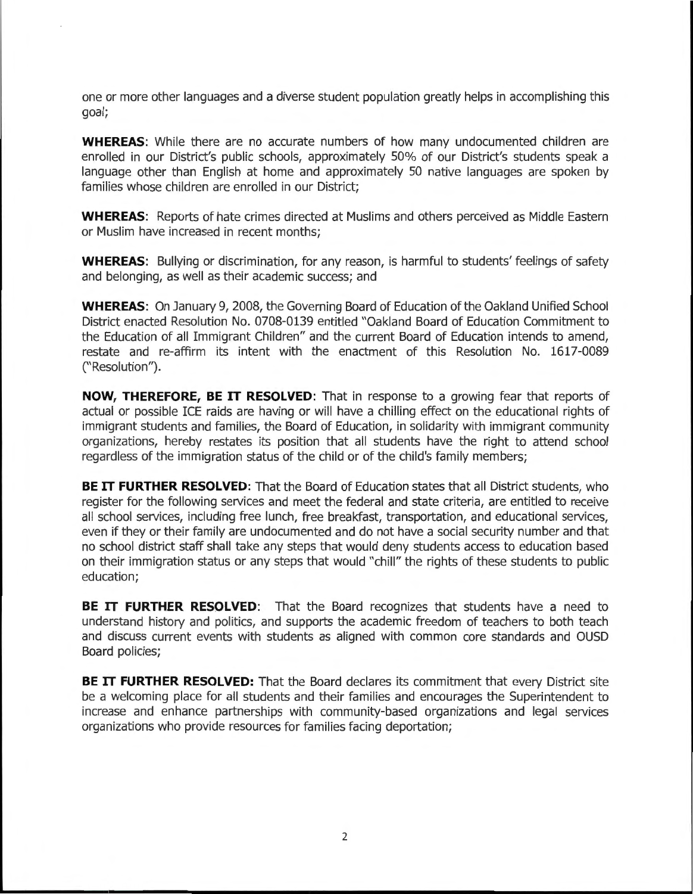one or more other languages and a diverse student population greatly helps in accomplishing this goal;

**WHEREAS:** While there are no accurate numbers of how many undocumented children are enrolled in our District's public schools, approximately 50% of our District's students speak a language other than English at home and approximately 50 native languages are spoken by families whose children are enrolled in our District;

**WHEREAS:** Reports of hate crimes directed at Muslims and others perceived as Middle Eastern or Muslim have increased in recent months;

**WHEREAS:** Bullying or discrimination, for any reason, is harmful to students' feelings of safety and belonging, as well as their academic success; and

**WHEREAS:** On January 9, 2008, the Governing Board of Education of the Oakland Unified School District enacted Resolution No. 0708-0139 entitled "Oakland Board of Education Commitment to the Education of all Immigrant Children" and the current Board of Education intends to amend, restate and re-affirm its intent with the enactment of this Resolution No. 1617-0089 (''Resolution'').

**NOW, THEREFORE, BE IT RESOLVED:** That in response to a growing fear that reports of actual or possible ICE raids are having or will have a chilling effect on the educational rights of immigrant students and families, the Board of Education, in solidarity with immigrant community organizations, hereby restates its position that all students have the right to attend school regardless of the immigration status of the child or of the child's family members;

**BE IT FURTHER RESOLVED:** That the Board of Education states that all District students, who register for the following services and meet the federal and state criteria, are entitled to receive all school services, including free lunch, free breakfast, transportation, and educational services, even if they or their family are undocumented and do not have a social security number and that no school district staff shall take any steps that would deny students access to education based on their immigration status or any steps that would "chill" the rights of these students to public education;

**BE IT FURTHER RESOLVED:** That the Board recognizes that students have a need to understand history and politics, and supports the academic freedom of teachers to both teach and discuss current events with students as aligned with common core standards and OUSD Board policies;

**BE IT FURTHER RESOLVED:** That the Board declares its commitment that every District site be a welcoming place for all students and their families and encourages the Superintendent to increase and enhance partnerships with community-based organizations and legal services organizations who provide resources for families facing deportation;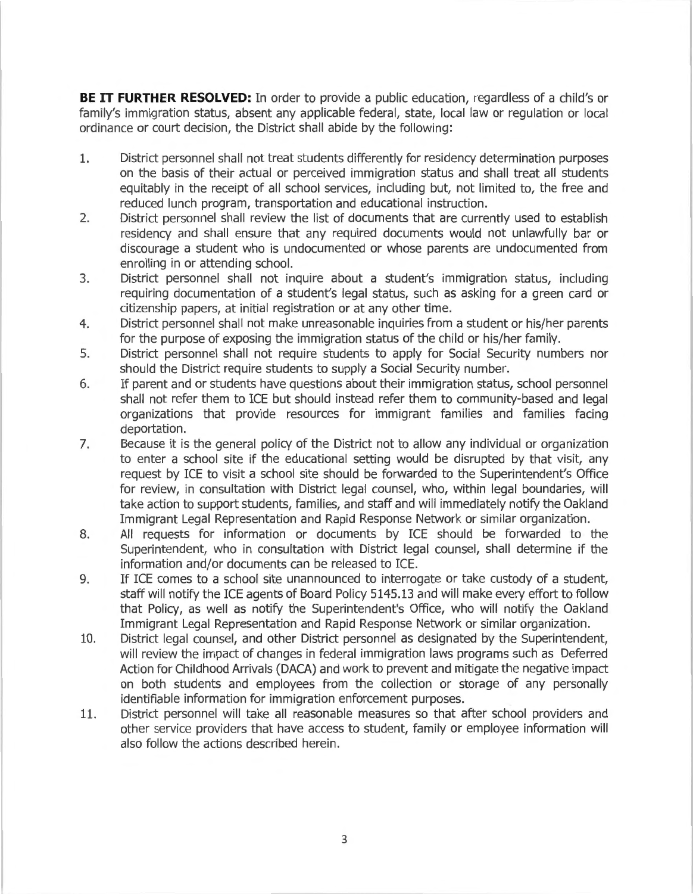**BE IT FURTHER RESOLVED:** In order to provide a public education, regardless of a child's or family's immigration status, absent any applicable federal, state, local law or regulation or local ordinance or court decision, the District shall abide by the following:

- 1. District personnel shall not treat students differently for residency determination purposes on the basis of their actual or perceived immigration status and shall treat all students equitably in the receipt of all school services, including but, not limited to, the free and reduced lunch program, transportation and educational instruction.
- 2. District personnel shall review the list of documents that are currently used to establish residency and shall ensure that any required documents would not unlawfully bar or discourage a student who is undocumented or whose parents are undocumented from enrolling in or attending school.
- 3. District personnel shall not inquire about a student's immigration status, including requiring documentation of a student's legal status, such as asking for a green card or citizenship papers, at initial registration or at any other time.
- 4. District personnel shall not make unreasonable inquiries from a student or his/her parents for the purpose of exposing the immigration status of the child or his/her family.
- 5. District personnel shall not require students to apply for Social Security numbers nor should the District require students to supply a Social Security number.
- 6. If parent and or students have questions about their immigration status, school personnel shall not refer them to ICE but should instead refer them to community-based and legal organizations that provide resources for immigrant families and families facing deportation.
- 7. Because it is the general policy of the District not to allow any individual or organization to enter a school site if the educational setting would be disrupted by that visit, any request by ICE to visit a school site should be forwarded to the Superintendent's Office for review, in consultation with District legal counsel, who, within legal boundaries, will take action to support students, families, and staff and will immediately notify the Oakland Immigrant Legal Representation and Rapid Response Network or similar organization.
- 8. All requests for information or documents by ICE should be forwarded to the Superintendent, who in consultation with District legal counsel, shall determine if the information and/or documents can be released to ICE.
- 9. If ICE comes to a school site unannounced to interrogate or take custody of a student, staff will notify the ICE agents of Board Policy 5145.13 and will make every effort to follow that Policy, as well as notify the Superintendent's Office, who will notify the Oakland Immigrant Legal Representation and Rapid Response Network or similar organization.
- 10. District legal counsel, and other District personnel as designated by the Superintendent, will review the impact of changes in federal immigration laws programs such as Deferred Action for Childhood Arrivals (DACA) and work to prevent and mitigate the negative impact on both students and employees from the collection or storage of any personally identifiable information for immigration enforcement purposes.
- 11. District personnel will take all reasonable measures so that after school providers and other service providers that have access to student, family or employee information will also follow the actions described herein.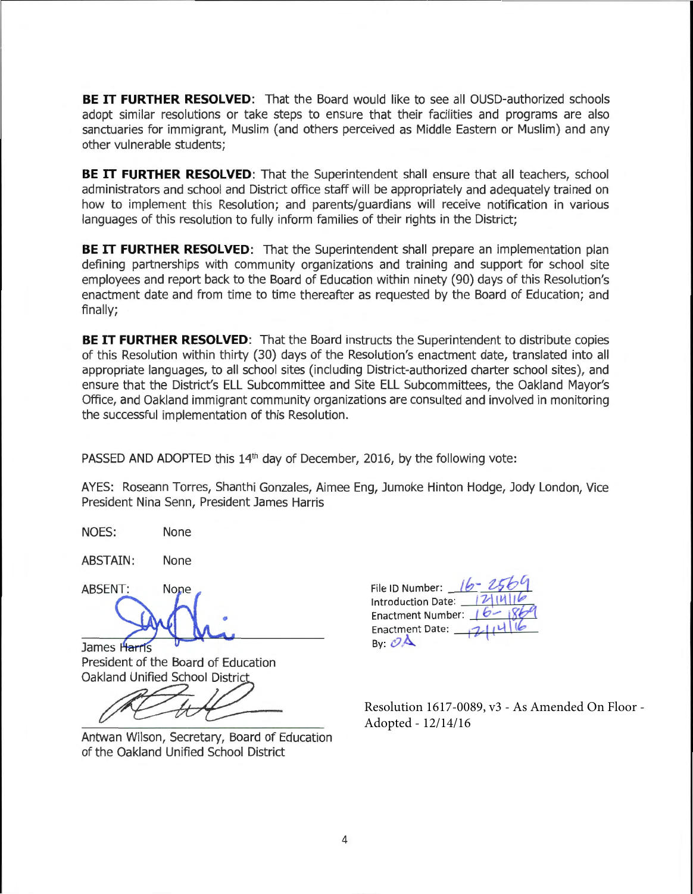**BE IT FURTHER RESOLVED:** That the Board would like to see all OUSD-authorized schools adopt similar resolutions or take steps to ensure that their facilities and programs are also sanctuaries for immigrant, Muslim (and others perceived as Middle Eastern or Muslim) and any other vulnerable students;

**BE IT FURTHER RESOLVED:** That the Superintendent shall ensure that all teachers, school administrators and school and District office staff will be appropriately and adequately trained on how to implement this Resolution; and parents/guardians will receive notification in various languages of this resolution to fully inform families of their rights in the District;

**BE IT FURTHER RESOLVED:** That the Superintendent shall prepare an implementation plan defining partnerships with community organizations and training and support for school site employees and report back to the Board of Education within ninety (90) days of this Resolution's enactment date and from time to time thereafter as requested by the Board of Education; and finally;

**BE IT FURTHER RESOLVED:** That the Board instructs the Superintendent to distribute copies of this Resolution within thirty (30) days of the Resolution's enactment date, translated into all appropriate languages, to all school sites (including District-authorized charter school sites), and ensure that the District's ELL Subcommittee and Site ELL Subcommittees, the Oakland Mayor's Office, and Oakland immigrant community organizations are consulted and involved in monitoring the successful implementation of this Resolution.

PASSED AND ADOPTED this  $14<sup>th</sup>$  day of December, 2016, by the following vote:

AYES: Roseann Torres, Shanthi Gonzales, Aimee Eng, Jumoke Hinton Hodge, Jody London, Vice President Nina Senn, President James Harris

NOES: None

ABSTAIN: None

None

 $\overline{\phantom{a}}$ 

James Harris President of the Board of Education Oakland Unified School Distric

Antwan Wilson, Secretary, Board of Education of the Oakland Unified School District

File ID Number: **/b- ub~**  Introduction Date. **12** Enactment Number: 16 Enactment Date: By  $\mathcal{O}$  $\triangle$ 

Resolution 1617-0089, v3 - As Amended On Floor - Adopted - 12/14/16